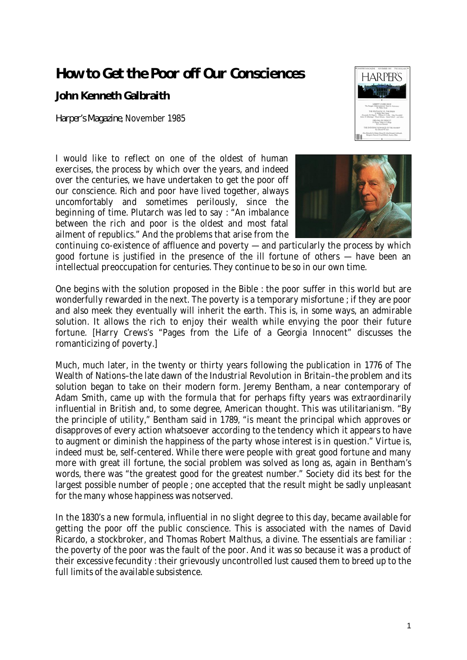## **How to Get the Poor off Our Consciences**

## **John Kenneth Galbraith**

*Harper's Magazine*, November 1985



I would like to reflect on one of the oldest of human exercises, the process by which over the years, and indeed over the centuries, we have undertaken to get the poor off our conscience. Rich and poor have lived together, always uncomfortably and sometimes perilously, since the beginning of time. Plutarch was led to say : "An imbalance between the rich and poor is the oldest and most fatal ailment of republics." And the problems that arise from the



continuing co-existence of affluence and poverty — and particularly the process by which good fortune is justified in the presence of the ill fortune of others — have been an intellectual preoccupation for centuries. They continue to be so in our own time.

One begins with the solution proposed in the Bible : the poor suffer in this world but are wonderfully rewarded in the next. The poverty is a temporary misfortune ; if they are poor and also meek they eventually will inherit the earth. This is, in some ways, an admirable solution. It allows the rich to enjoy their wealth while envying the poor their future fortune. [Harry Crews's "Pages from the Life of a Georgia Innocent" discusses the romanticizing of poverty.]

Much, much later, in the twenty or thirty years following the publication in 1776 of The Wealth of Nations–the late dawn of the Industrial Revolution in Britain–the problem and its solution began to take on their modern form. Jeremy Bentham, a near contemporary of Adam Smith, came up with the formula that for perhaps fifty years was extraordinarily influential in British and, to some degree, American thought. This was utilitarianism. "By the principle of utility," Bentham said in 1789, "is meant the principal which approves or disapproves of every action whatsoever according to the tendency which it appears to have to augment or diminish the happiness of the party whose interest is in question." Virtue is, indeed must be, self-centered. While there were people with great good fortune and many more with great ill fortune, the social problem was solved as long as, again in Bentham's words, there was "the greatest good for the greatest number." Society did its best for the largest possible number of people ; one accepted that the result might be sadly unpleasant for the many whose happiness was notserved.

In the 1830's a new formula, influential in no slight degree to this day, became available for getting the poor off the public conscience. This is associated with the names of David Ricardo, a stockbroker, and Thomas Robert Malthus, a divine. The essentials are familiar : the poverty of the poor was the fault of the poor. And it was so because it was a product of their excessive fecundity : their grievously uncontrolled lust caused them to breed up to the full limits of the available subsistence.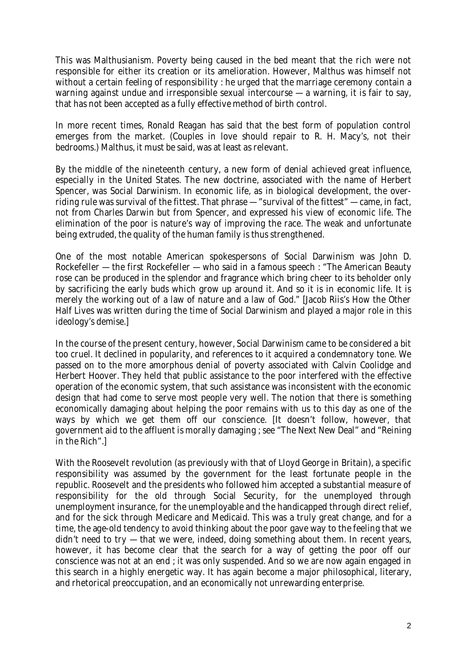This was Malthusianism. Poverty being caused in the bed meant that the rich were not responsible for either its creation or its amelioration. However, Malthus was himself not without a certain feeling of responsibility : he urged that the marriage ceremony contain a warning against undue and irresponsible sexual intercourse — a warning, it is fair to say, that has not been accepted as a fully effective method of birth control.

In more recent times, Ronald Reagan has said that the best form of population control emerges from the market. (Couples in love should repair to R. H. Macy's, not their bedrooms.) Malthus, it must be said, was at least as relevant.

By the middle of the nineteenth century, a new form of denial achieved great influence, especially in the United States. The new doctrine, associated with the name of Herbert Spencer, was Social Darwinism. In economic life, as in biological development, the overriding rule was survival of the fittest. That phrase — "survival of the fittest" — came, in fact, not from Charles Darwin but from Spencer, and expressed his view of economic life. The elimination of the poor is nature's way of improving the race. The weak and unfortunate being extruded, the quality of the human family is thus strengthened.

One of the most notable American spokespersons of Social Darwinism was John D. Rockefeller — the first Rockefeller — who said in a famous speech : "The American Beauty rose can be produced in the splendor and fragrance which bring cheer to its beholder only by sacrificing the early buds which grow up around it. And so it is in economic life. It is merely the working out of a law of nature and a law of God." [Jacob Riis's How the Other Half Lives was written during the time of Social Darwinism and played a major role in this ideology's demise.]

In the course of the present century, however, Social Darwinism came to be considered a bit too cruel. It declined in popularity, and references to it acquired a condemnatory tone. We passed on to the more amorphous denial of poverty associated with Calvin Coolidge and Herbert Hoover. They held that public assistance to the poor interfered with the effective operation of the economic system, that such assistance was inconsistent with the economic design that had come to serve most people very well. The notion that there is something economically damaging about helping the poor remains with us to this day as one of the ways by which we get them off our conscience. It doesn't follow, however, that government aid to the affluent is morally damaging ; see "The Next New Deal" and "Reining in the Rich".]

With the Roosevelt revolution (as previously with that of Lloyd George in Britain), a specific responsibility was assumed by the government for the least fortunate people in the republic. Roosevelt and the presidents who followed him accepted a substantial measure of responsibility for the old through Social Security, for the unemployed through unemployment insurance, for the unemployable and the handicapped through direct relief, and for the sick through Medicare and Medicaid. This was a truly great change, and for a time, the age-old tendency to avoid thinking about the poor gave way to the feeling that we didn't need to try — that we were, indeed, doing something about them. In recent years, however, it has become clear that the search for a way of getting the poor off our conscience was not at an end ; it was only suspended. And so we are now again engaged in this search in a highly energetic way. It has again become a major philosophical, literary, and rhetorical preoccupation, and an economically not unrewarding enterprise.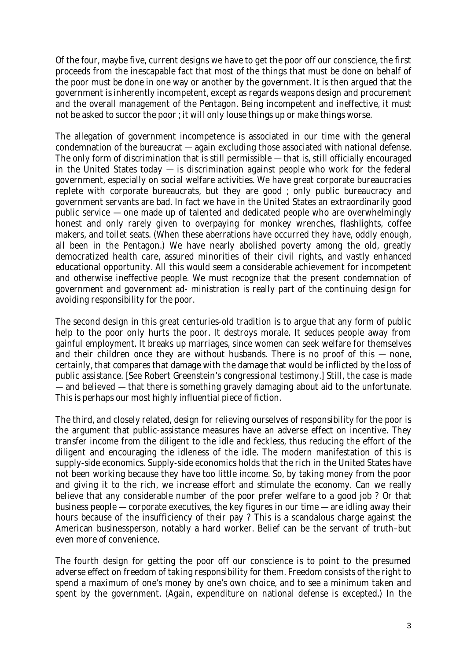Of the four, maybe five, current designs we have to get the poor off our conscience, the first proceeds from the inescapable fact that most of the things that must be done on behalf of the poor must be done in one way or another by the government. It is then argued that the government is inherently incompetent, except as regards weapons design and procurement and the overall management of the Pentagon. Being incompetent and ineffective, it must not be asked to succor the poor ; it will only louse things up or make things worse.

The allegation of government incompetence is associated in our time with the general condemnation of the bureaucrat — again excluding those associated with national defense. The only form of discrimination that is still permissible — that is, still officially encouraged in the United States today — is discrimination against people who work for the federal government, especially on social welfare activities. We have great corporate bureaucracies replete with corporate bureaucrats, but they are good ; only public bureaucracy and government servants are bad. In fact we have in the United States an extraordinarily good public service — one made up of talented and dedicated people who are overwhelmingly honest and only rarely given to overpaying for monkey wrenches, flashlights, coffee makers, and toilet seats. (When these aberrations have occurred they have, oddly enough, all been in the Pentagon.) We have nearly abolished poverty among the old, greatly democratized health care, assured minorities of their civil rights, and vastly enhanced educational opportunity. All this would seem a considerable achievement for incompetent and otherwise ineffective people. We must recognize that the present condemnation of government and government ad- ministration is really part of the continuing design for avoiding responsibility for the poor.

The second design in this great centuries-old tradition is to argue that any form of public help to the poor only hurts the poor. It destroys morale. It seduces people away from gainful employment. It breaks up marriages, since women can seek welfare for themselves and their children once they are without husbands. There is no proof of this — none, certainly, that compares that damage with the damage that would be inflicted by the loss of public assistance. [See Robert Greenstein's congressional testimony.] Still, the case is made — and believed — that there is something gravely damaging about aid to the unfortunate. This is perhaps our most highly influential piece of fiction.

The third, and closely related, design for relieving ourselves of responsibility for the poor is the argument that public-assistance measures have an adverse effect on incentive. They transfer income from the diligent to the idle and feckless, thus reducing the effort of the diligent and encouraging the idleness of the idle. The modern manifestation of this is supply-side economics. Supply-side economics holds that the rich in the United States have not been working because they have too little income. So, by taking money from the poor and giving it to the rich, we increase effort and stimulate the economy. Can we really believe that any considerable number of the poor prefer welfare to a good job ? Or that business people — corporate executives, the key figures in our time — are idling away their hours because of the insufficiency of their pay ? This is a scandalous charge against the American businessperson, notably a hard worker. Belief can be the servant of truth–but even more of convenience.

The fourth design for getting the poor off our conscience is to point to the presumed adverse effect on freedom of taking responsibility for them. Freedom consists of the right to spend a maximum of one's money by one's own choice, and to see a minimum taken and spent by the government. (Again, expenditure on national defense is excepted.) In the